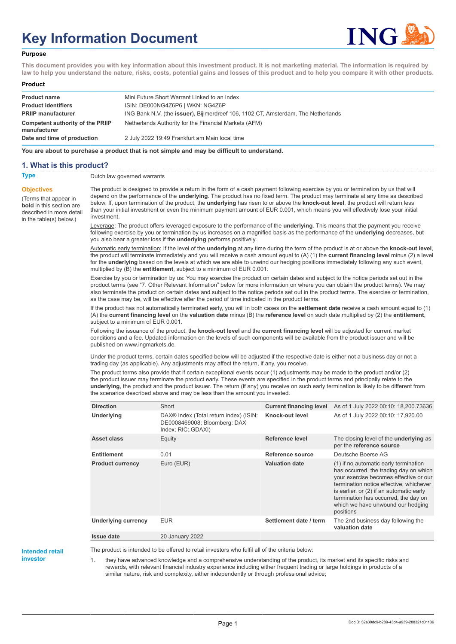# **Key Information Document**



## **Purpose**

**This document provides you with key information about this investment product. It is not marketing material. The information is required by law to help you understand the nature, risks, costs, potential gains and losses of this product and to help you compare it with other products.**

#### **Product**

| <b>Product name</b>                              | Mini Future Short Warrant Linked to an Index                                              |
|--------------------------------------------------|-------------------------------------------------------------------------------------------|
| <b>Product identifiers</b>                       | ISIN: DE000NG4Z6P6   WKN: NG4Z6P                                                          |
| <b>PRIIP manufacturer</b>                        | ING Bank N.V. (the <b>issuer</b> ), Bijlmerdreef 106, 1102 CT, Amsterdam, The Netherlands |
| Competent authority of the PRIIP<br>manufacturer | Netherlands Authority for the Financial Markets (AFM)                                     |
| Date and time of production                      | 2 July 2022 19:49 Frankfurt am Main local time                                            |

**You are about to purchase a product that is not simple and may be difficult to understand.**

## **1. What is this product?**

**Objectives**

(Terms that appear in **bold** in this section are described in more detail in the table(s) below.)

## **Type** Dutch law governed warrants

The product is designed to provide a return in the form of a cash payment following exercise by you or termination by us that will depend on the performance of the **underlying**. The product has no fixed term. The product may terminate at any time as described below. If, upon termination of the product, the **underlying** has risen to or above the **knock-out level**, the product will return less than your initial investment or even the minimum payment amount of EUR 0.001, which means you will effectively lose your initial investment.

Leverage: The product offers leveraged exposure to the performance of the **underlying**. This means that the payment you receive following exercise by you or termination by us increases on a magnified basis as the performance of the **underlying** decreases, but you also bear a greater loss if the **underlying** performs positively.

Automatic early termination: If the level of the **underlying** at any time during the term of the product is at or above the **knock-out level**, the product will terminate immediately and you will receive a cash amount equal to (A) (1) the **current financing level** minus (2) a level for the **underlying** based on the levels at which we are able to unwind our hedging positions immediately following any such event, multiplied by (B) the **entitlement**, subject to a minimum of EUR 0.001.

Exercise by you or termination by us: You may exercise the product on certain dates and subject to the notice periods set out in the product terms (see "7. Other Relevant Information" below for more information on where you can obtain the product terms). We may also terminate the product on certain dates and subject to the notice periods set out in the product terms. The exercise or termination, as the case may be, will be effective after the period of time indicated in the product terms.

If the product has not automatically terminated early, you will in both cases on the **settlement date** receive a cash amount equal to (1) (A) the **current financing level** on the **valuation date** minus (B) the **reference level** on such date multiplied by (2) the **entitlement**, subject to a minimum of EUR 0.001.

Following the issuance of the product, the **knock-out level** and the **current financing level** will be adjusted for current market conditions and a fee. Updated information on the levels of such components will be available from the product issuer and will be published on www.ingmarkets.de.

Under the product terms, certain dates specified below will be adjusted if the respective date is either not a business day or not a trading day (as applicable). Any adjustments may affect the return, if any, you receive.

The product terms also provide that if certain exceptional events occur (1) adjustments may be made to the product and/or (2) the product issuer may terminate the product early. These events are specified in the product terms and principally relate to the **underlying**, the product and the product issuer. The return (if any) you receive on such early termination is likely to be different from the scenarios described above and may be less than the amount you invested.

| <b>Direction</b>        | Short                                                                                                    | <b>Current financing level</b> | As of 1 July 2022 00:10: 18,200.73636                                                                                                                                                                                                                                                                      |
|-------------------------|----------------------------------------------------------------------------------------------------------|--------------------------------|------------------------------------------------------------------------------------------------------------------------------------------------------------------------------------------------------------------------------------------------------------------------------------------------------------|
| Underlying              | DAX <sup>®</sup> Index (Total return index) (ISIN:<br>DE0008469008; Bloomberg: DAX<br>Index; RIC: GDAXI) | Knock-out level                | As of 1 July 2022 00:10: 17,920.00                                                                                                                                                                                                                                                                         |
| Asset class             | Equity                                                                                                   | Reference level                | The closing level of the <b>underlying</b> as<br>per the reference source                                                                                                                                                                                                                                  |
| <b>Entitlement</b>      | 0.01                                                                                                     | Reference source               | Deutsche Boerse AG                                                                                                                                                                                                                                                                                         |
| <b>Product currency</b> | Euro (EUR)                                                                                               | <b>Valuation date</b>          | (1) if no automatic early termination<br>has occurred, the trading day on which<br>your exercise becomes effective or our<br>termination notice effective, whichever<br>is earlier, or (2) if an automatic early<br>termination has occurred, the day on<br>which we have unwound our hedging<br>positions |
| Underlying currency     | <b>EUR</b>                                                                                               | Settlement date / term         | The 2nd business day following the<br>valuation date                                                                                                                                                                                                                                                       |
| <b>Issue date</b>       | 20 January 2022                                                                                          |                                |                                                                                                                                                                                                                                                                                                            |

## **Intended retail**

The product is intended to be offered to retail investors who fulfil all of the criteria below:

**investor**

they have advanced knowledge and a comprehensive understanding of the product, its market and its specific risks and

rewards, with relevant financial industry experience including either frequent trading or large holdings in products of a similar nature, risk and complexity, either independently or through professional advice;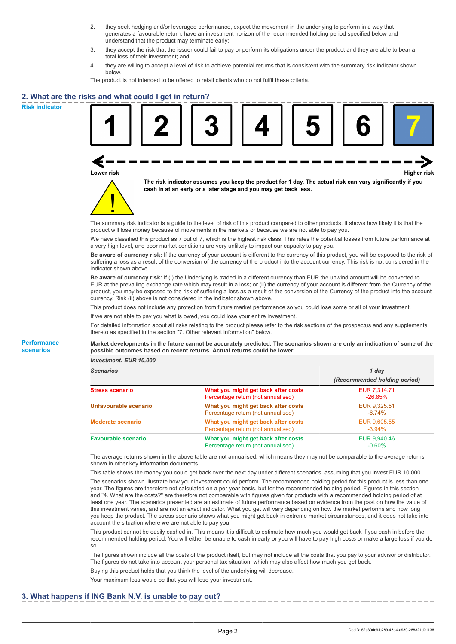- 2. they seek hedging and/or leveraged performance, expect the movement in the underlying to perform in a way that generates a favourable return, have an investment horizon of the recommended holding period specified below and understand that the product may terminate early;
- 3. they accept the risk that the issuer could fail to pay or perform its obligations under the product and they are able to bear a total loss of their investment; and
- 4. they are willing to accept a level of risk to achieve potential returns that is consistent with the summary risk indicator shown below.

The product is not intended to be offered to retail clients who do not fulfil these criteria.

## **2. What are the risks and what could I get in return?**

**Risk indicator**

**Performance scenarios**





**The risk indicator assumes you keep the product for 1 day. The actual risk can vary significantly if you cash in at an early or a later stage and you may get back less.**

The summary risk indicator is a guide to the level of risk of this product compared to other products. It shows how likely it is that the product will lose money because of movements in the markets or because we are not able to pay you.

We have classified this product as 7 out of 7, which is the highest risk class. This rates the potential losses from future performance at a very high level, and poor market conditions are very unlikely to impact our capacity to pay you.

**Be aware of currency risk:** If the currency of your account is different to the currency of this product, you will be exposed to the risk of suffering a loss as a result of the conversion of the currency of the product into the account currency. This risk is not considered in the indicator shown above.

**Be aware of currency risk:** If (i) the Underlying is traded in a different currency than EUR the unwind amount will be converted to EUR at the prevailing exchange rate which may result in a loss; or (ii) the currency of your account is different from the Currency of the product, you may be exposed to the risk of suffering a loss as a result of the conversion of the Currency of the product into the account currency. Risk (ii) above is not considered in the indicator shown above.

This product does not include any protection from future market performance so you could lose some or all of your investment.

If we are not able to pay you what is owed, you could lose your entire investment.

For detailed information about all risks relating to the product please refer to the risk sections of the prospectus and any supplements thereto as specified in the section "7. Other relevant information" below.

#### **Market developments in the future cannot be accurately predicted. The scenarios shown are only an indication of some of the possible outcomes based on recent returns. Actual returns could be lower.**

*Investment: EUR 10,000*

| <b>Scenarios</b>           |                                                                           | 1 day                        |  |
|----------------------------|---------------------------------------------------------------------------|------------------------------|--|
|                            |                                                                           | (Recommended holding period) |  |
| <b>Stress scenario</b>     | What you might get back after costs<br>Percentage return (not annualised) | EUR 7,314.71<br>$-26.85\%$   |  |
| Unfavourable scenario      | What you might get back after costs<br>Percentage return (not annualised) | EUR 9,325.51<br>$-6.74%$     |  |
| <b>Moderate scenario</b>   | What you might get back after costs<br>Percentage return (not annualised) | EUR 9.605.55<br>$-3.94\%$    |  |
| <b>Favourable scenario</b> | What you might get back after costs<br>Percentage return (not annualised) | EUR 9,940.46<br>$-0.60%$     |  |

The average returns shown in the above table are not annualised, which means they may not be comparable to the average returns shown in other key information documents.

This table shows the money you could get back over the next day under different scenarios, assuming that you invest EUR 10,000. The scenarios shown illustrate how your investment could perform. The recommended holding period for this product is less than one year. The figures are therefore not calculated on a per year basis, but for the recommended holding period. Figures in this section and "4. What are the costs?" are therefore not comparable with figures given for products with a recommended holding period of at least one year. The scenarios presented are an estimate of future performance based on evidence from the past on how the value of this investment varies, and are not an exact indicator. What you get will vary depending on how the market performs and how long you keep the product. The stress scenario shows what you might get back in extreme market circumstances, and it does not take into account the situation where we are not able to pay you.

This product cannot be easily cashed in. This means it is difficult to estimate how much you would get back if you cash in before the recommended holding period. You will either be unable to cash in early or you will have to pay high costs or make a large loss if you do so.

The figures shown include all the costs of the product itself, but may not include all the costs that you pay to your advisor or distributor. The figures do not take into account your personal tax situation, which may also affect how much you get back.

Buying this product holds that you think the level of the underlying will decrease.

Your maximum loss would be that you will lose your investment.

## **3. What happens if ING Bank N.V. is unable to pay out?**